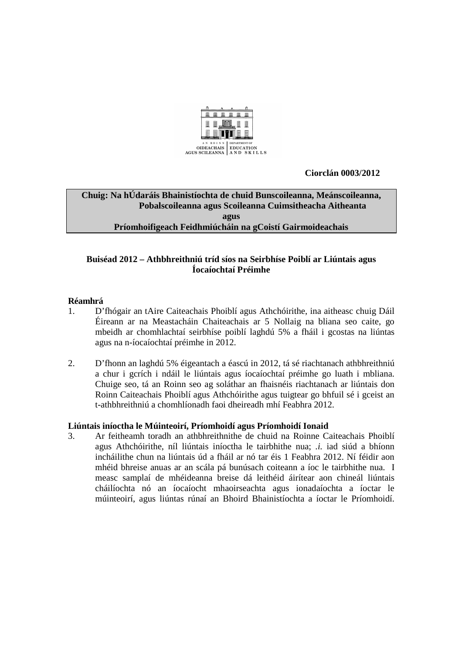

 **Ciorclán 0003/2012** 

# **Chuig: Na hÚdaráis Bhainistíochta de chuid Bunscoileanna, Meánscoileanna, Pobalscoileanna agus Scoileanna Cuimsitheacha Aitheanta agus Príomhoifigeach Feidhmiúcháin na gCoistí Gairmoideachais**

## **Buiséad 2012 – Athbhreithniú tríd síos na Seirbhíse Poiblí ar Liúntais agus Íocaíochtaí Préimhe**

# **Réamhrá**

- 1. D'fhógair an tAire Caiteachais Phoiblí agus Athchóirithe, ina aitheasc chuig Dáil Éireann ar na Meastacháin Chaiteachais ar 5 Nollaig na bliana seo caite, go mbeidh ar chomhlachtaí seirbhíse poiblí laghdú 5% a fháil i gcostas na liúntas agus na n-íocaíochtaí préimhe in 2012.
- 2. D'fhonn an laghdú 5% éigeantach a éascú in 2012, tá sé riachtanach athbhreithniú a chur i gcrích i ndáil le liúntais agus íocaíochtaí préimhe go luath i mbliana. Chuige seo, tá an Roinn seo ag soláthar an fhaisnéis riachtanach ar liúntais don Roinn Caiteachais Phoiblí agus Athchóirithe agus tuigtear go bhfuil sé i gceist an t-athbhreithniú a chomhlíonadh faoi dheireadh mhí Feabhra 2012.

### **Liúntais iníoctha le Múinteoirí, Príomhoidí agus Príomhoidí Ionaid**

3. Ar feitheamh toradh an athbhreithnithe de chuid na Roinne Caiteachais Phoiblí agus Athchóirithe, níl liúntais iníoctha le tairbhithe nua; *.i.* iad siúd a bhíonn incháilithe chun na liúntais úd a fháil ar nó tar éis 1 Feabhra 2012. Ní féidir aon mhéid bhreise anuas ar an scála pá bunúsach coiteann a íoc le tairbhithe nua. I measc samplaí de mhéideanna breise dá leithéid áirítear aon chineál liúntais cháilíochta nó an íocaíocht mhaoirseachta agus ionadaíochta a íoctar le múinteoirí, agus liúntas rúnaí an Bhoird Bhainistíochta a íoctar le Príomhoidí.